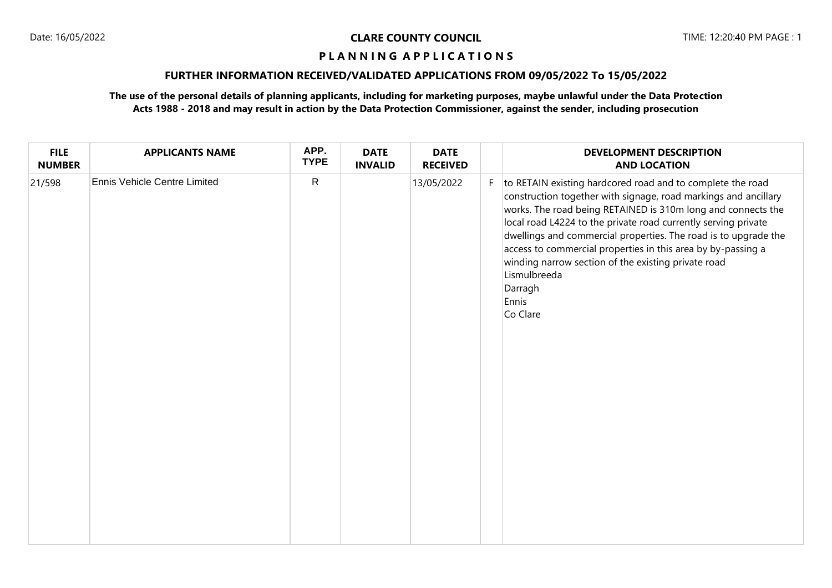# **FURTHER INFORMATION RECEIVED/VALIDATED APPLICATIONS FROM 09/05/2022 To 15/05/2022**

| <b>FILE</b><br><b>NUMBER</b> | <b>APPLICANTS NAME</b>              | APP.<br><b>TYPE</b> | <b>DATE</b><br><b>INVALID</b> | <b>DATE</b><br><b>RECEIVED</b> |    | <b>DEVELOPMENT DESCRIPTION</b><br><b>AND LOCATION</b>                                                                                                                                                                                                                                                                                                                                                                                                                                                     |
|------------------------------|-------------------------------------|---------------------|-------------------------------|--------------------------------|----|-----------------------------------------------------------------------------------------------------------------------------------------------------------------------------------------------------------------------------------------------------------------------------------------------------------------------------------------------------------------------------------------------------------------------------------------------------------------------------------------------------------|
| 21/598                       | <b>Ennis Vehicle Centre Limited</b> | $\mathsf{R}$        |                               | 13/05/2022                     | F. | to RETAIN existing hardcored road and to complete the road<br>construction together with signage, road markings and ancillary<br>works. The road being RETAINED is 310m long and connects the<br>local road L4224 to the private road currently serving private<br>dwellings and commercial properties. The road is to upgrade the<br>access to commercial properties in this area by by-passing a<br>winding narrow section of the existing private road<br>Lismulbreeda<br>Darragh<br>Ennis<br>Co Clare |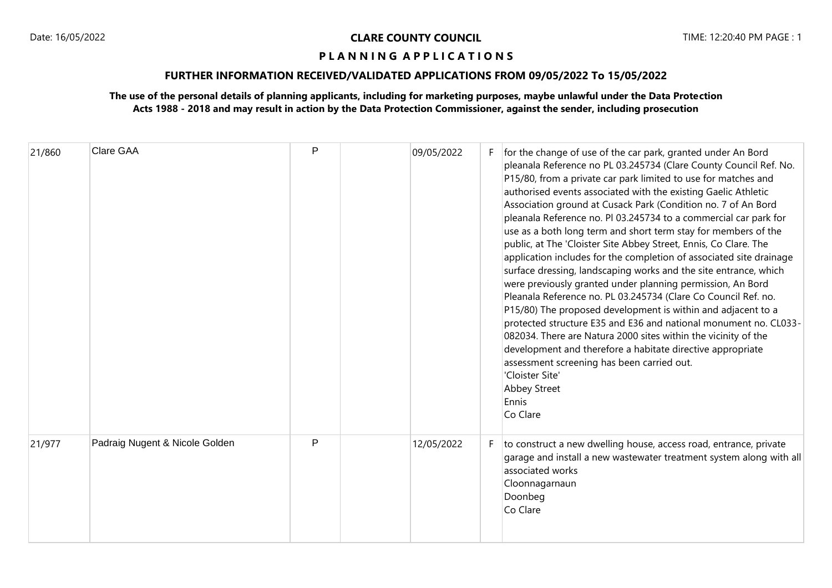# **FURTHER INFORMATION RECEIVED/VALIDATED APPLICATIONS FROM 09/05/2022 To 15/05/2022**

| 21/860 | <b>Clare GAA</b>               | P | 09/05/2022 |    | for the change of use of the car park, granted under An Bord<br>pleanala Reference no PL 03.245734 (Clare County Council Ref. No.<br>P15/80, from a private car park limited to use for matches and<br>authorised events associated with the existing Gaelic Athletic<br>Association ground at Cusack Park (Condition no. 7 of An Bord<br>pleanala Reference no. Pl 03.245734 to a commercial car park for<br>use as a both long term and short term stay for members of the<br>public, at The 'Cloister Site Abbey Street, Ennis, Co Clare. The<br>application includes for the completion of associated site drainage<br>surface dressing, landscaping works and the site entrance, which<br>were previously granted under planning permission, An Bord<br>Pleanala Reference no. PL 03.245734 (Clare Co Council Ref. no.<br>P15/80) The proposed development is within and adjacent to a<br>protected structure E35 and E36 and national monument no. CL033-<br>082034. There are Natura 2000 sites within the vicinity of the<br>development and therefore a habitate directive appropriate<br>assessment screening has been carried out.<br>'Cloister Site'<br><b>Abbey Street</b><br>Ennis<br>Co Clare |
|--------|--------------------------------|---|------------|----|--------------------------------------------------------------------------------------------------------------------------------------------------------------------------------------------------------------------------------------------------------------------------------------------------------------------------------------------------------------------------------------------------------------------------------------------------------------------------------------------------------------------------------------------------------------------------------------------------------------------------------------------------------------------------------------------------------------------------------------------------------------------------------------------------------------------------------------------------------------------------------------------------------------------------------------------------------------------------------------------------------------------------------------------------------------------------------------------------------------------------------------------------------------------------------------------------------------|
| 21/977 | Padraig Nugent & Nicole Golden | P | 12/05/2022 | F. | to construct a new dwelling house, access road, entrance, private<br>garage and install a new wastewater treatment system along with all<br>associated works<br>Cloonnagarnaun<br>Doonbeg<br>Co Clare                                                                                                                                                                                                                                                                                                                                                                                                                                                                                                                                                                                                                                                                                                                                                                                                                                                                                                                                                                                                        |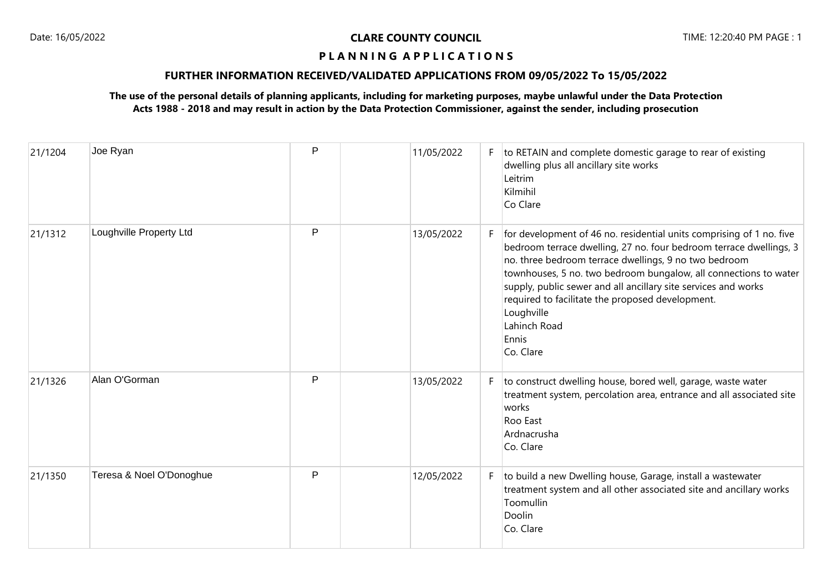# **FURTHER INFORMATION RECEIVED/VALIDATED APPLICATIONS FROM 09/05/2022 To 15/05/2022**

| 21/1204 | Joe Ryan                 | P | 11/05/2022 | F. | to RETAIN and complete domestic garage to rear of existing<br>dwelling plus all ancillary site works<br>Leitrim<br>Kilmihil<br>Co Clare                                                                                                                                                                                                                                                                                                           |
|---------|--------------------------|---|------------|----|---------------------------------------------------------------------------------------------------------------------------------------------------------------------------------------------------------------------------------------------------------------------------------------------------------------------------------------------------------------------------------------------------------------------------------------------------|
| 21/1312 | Loughville Property Ltd  | P | 13/05/2022 | F  | for development of 46 no. residential units comprising of 1 no. five<br>bedroom terrace dwelling, 27 no. four bedroom terrace dwellings, 3<br>no. three bedroom terrace dwellings, 9 no two bedroom<br>townhouses, 5 no. two bedroom bungalow, all connections to water<br>supply, public sewer and all ancillary site services and works<br>required to facilitate the proposed development.<br>Loughville<br>Lahinch Road<br>Ennis<br>Co. Clare |
| 21/1326 | Alan O'Gorman            | P | 13/05/2022 | F. | to construct dwelling house, bored well, garage, waste water<br>treatment system, percolation area, entrance and all associated site<br>works<br>Roo East<br>Ardnacrusha<br>Co. Clare                                                                                                                                                                                                                                                             |
| 21/1350 | Teresa & Noel O'Donoghue | P | 12/05/2022 | F  | to build a new Dwelling house, Garage, install a wastewater<br>treatment system and all other associated site and ancillary works<br>Toomullin<br>Doolin<br>Co. Clare                                                                                                                                                                                                                                                                             |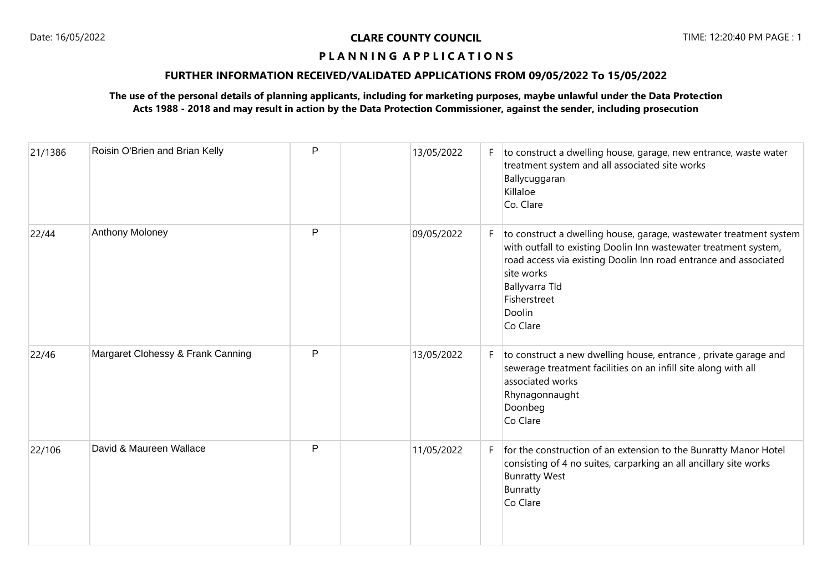# **FURTHER INFORMATION RECEIVED/VALIDATED APPLICATIONS FROM 09/05/2022 To 15/05/2022**

| 21/1386 | Roisin O'Brien and Brian Kelly    | P | 13/05/2022 | F. | to construct a dwelling house, garage, new entrance, waste water<br>treatment system and all associated site works<br>Ballycuggaran<br>Killaloe<br>Co. Clare                                                                                                                     |
|---------|-----------------------------------|---|------------|----|----------------------------------------------------------------------------------------------------------------------------------------------------------------------------------------------------------------------------------------------------------------------------------|
| 22/44   | Anthony Moloney                   | P | 09/05/2022 | F. | to construct a dwelling house, garage, wastewater treatment system<br>with outfall to existing Doolin Inn wastewater treatment system,<br>road access via existing Doolin Inn road entrance and associated<br>site works<br>Ballyvarra Tld<br>Fisherstreet<br>Doolin<br>Co Clare |
| 22/46   | Margaret Clohessy & Frank Canning | P | 13/05/2022 | F  | to construct a new dwelling house, entrance, private garage and<br>sewerage treatment facilities on an infill site along with all<br>associated works<br>Rhynagonnaught<br>Doonbeg<br>Co Clare                                                                                   |
| 22/106  | David & Maureen Wallace           | P | 11/05/2022 | F  | for the construction of an extension to the Bunratty Manor Hotel<br>consisting of 4 no suites, carparking an all ancillary site works<br><b>Bunratty West</b><br>Bunratty<br>Co Clare                                                                                            |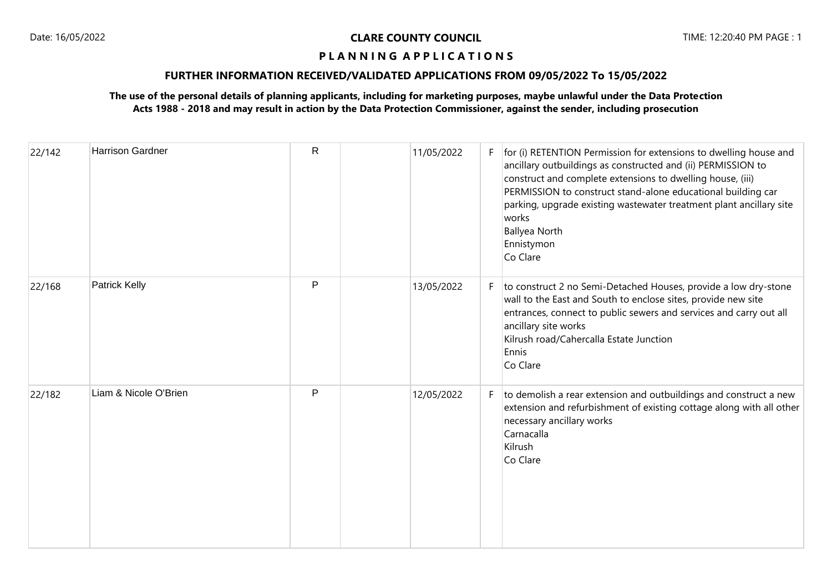## **FURTHER INFORMATION RECEIVED/VALIDATED APPLICATIONS FROM 09/05/2022 To 15/05/2022**

| 22/142 | <b>Harrison Gardner</b> | $\mathsf{R}$ | 11/05/2022 |    | $F$   for (i) RETENTION Permission for extensions to dwelling house and<br>ancillary outbuildings as constructed and (ii) PERMISSION to<br>construct and complete extensions to dwelling house, (iii)<br>PERMISSION to construct stand-alone educational building car<br>parking, upgrade existing wastewater treatment plant ancillary site<br>works<br><b>Ballyea North</b><br>Ennistymon<br>Co Clare |
|--------|-------------------------|--------------|------------|----|---------------------------------------------------------------------------------------------------------------------------------------------------------------------------------------------------------------------------------------------------------------------------------------------------------------------------------------------------------------------------------------------------------|
| 22/168 | Patrick Kelly           | P            | 13/05/2022 |    | F $\vert$ to construct 2 no Semi-Detached Houses, provide a low dry-stone<br>wall to the East and South to enclose sites, provide new site<br>entrances, connect to public sewers and services and carry out all<br>ancillary site works<br>Kilrush road/Cahercalla Estate Junction<br>Ennis<br>Co Clare                                                                                                |
| 22/182 | Liam & Nicole O'Brien   | $\mathsf{P}$ | 12/05/2022 | F. | to demolish a rear extension and outbuildings and construct a new<br>extension and refurbishment of existing cottage along with all other<br>necessary ancillary works<br>Carnacalla<br>Kilrush<br>Co Clare                                                                                                                                                                                             |